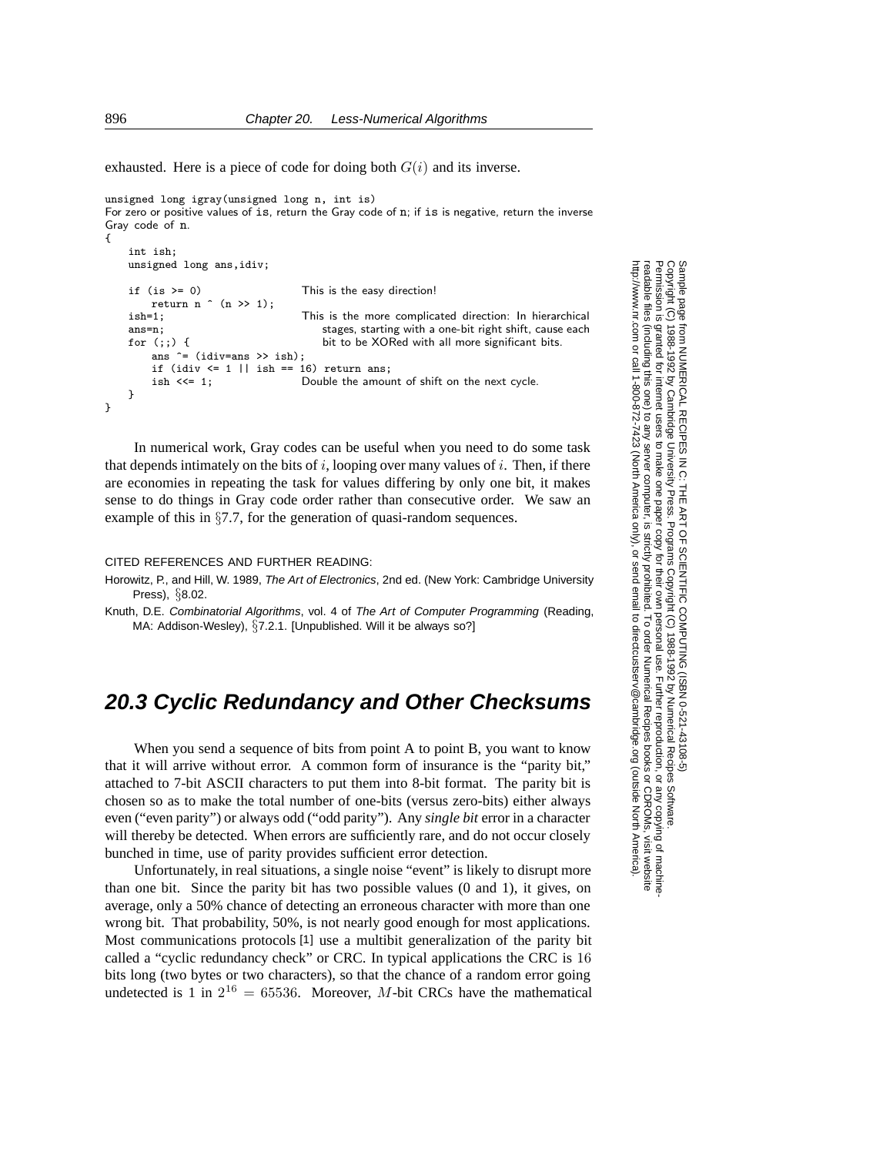exhausted. Here is a piece of code for doing both  $G(i)$  and its inverse.

```
unsigned long igray(unsigned long n, int is)
For zero or positive values of is, return the Gray code of n; if is is negative, return the inverse
Gray code of n.
{
```

```
int ish;
    unsigned long ans,idiv;
    if (is >= 0) This is the easy direction!
       return n \hat{m} (n >> 1);
    ish=1; This is the more complicated direction: In hierarchical
                                    stages, starting with a one-bit right shift, cause each
                                    bit to be XORed with all more significant bits.
    ans=n;
    for (;;) {
        ans \hat{=} (idiv=ans >> ish);
        if (idiv \leq 1 || ish == 16) return ans;
        ish <<= 1; Double the amount of shift on the next cycle.
    }
}
```
In numerical work, Gray codes can be useful when you need to do some task that depends intimately on the bits of *i*, looping over many values of *i*. Then, if there are economies in repeating the task for values differing by only one bit, it makes sense to do things in Gray code order rather than consecutive order. We saw an example of this in §7.7, for the generation of quasi-random sequences.

### CITED REFERENCES AND FURTHER READING:

- Horowitz, P., and Hill, W. 1989, The Art of Electronics, 2nd ed. (New York: Cambridge University Press), §8.02.
- Knuth, D.E. Combinatorial Algorithms, vol. 4 of The Art of Computer Programming (Reading, MA: Addison-Wesley), §7.2.1. [Unpublished. Will it be always so?]

# **20.3 Cyclic Redundancy and Other Checksums**

When you send a sequence of bits from point A to point B, you want to know that it will arrive without error. A common form of insurance is the "parity bit," attached to 7-bit ASCII characters to put them into 8-bit format. The parity bit is chosen so as to make the total number of one-bits (versus zero-bits) either always even ("even parity") or always odd ("odd parity"). Any *single bit* error in a character will thereby be detected. When errors are sufficiently rare, and do not occur closely bunched in time, use of parity provides sufficient error detection.

Unfortunately, in real situations, a single noise "event" is likely to disrupt more than one bit. Since the parity bit has two possible values (0 and 1), it gives, on average, only a 50% chance of detecting an erroneous character with more than one wrong bit. That probability, 50%, is not nearly good enough for most applications. Most communications protocols [1] use a multibit generalization of the parity bit called a "cyclic redundancy check" or CRC. In typical applications the CRC is 16 bits long (two bytes or two characters), so that the chance of a random error going undetected is 1 in  $2^{16} = 65536$ . Moreover, *M*-bit CRCs have the mathematical

Sample page f<br>Copyright (C)<br>Permission is <sub>!</sub><br>readable files **!** Copyright (C) 1988-1992 by Cambridge University Press.Sample page from NUMERICAL RECIPES IN C: THE ART OF SCIENTIFIC COMPUTING (ISBN 0-521-43108-5) http://www.nr.com or call 1-800-872-7423 (North America only),readable files (including this one) to any serverPermission is granted for internet users to make one paper copy for their own personal use. Further reproduction, or any copyin trom NUMERICAL RECIPES IN C. THE computer, is strictly prohibited. To order Numerical Recipes books: ART OF SCIENTIFIC COMPUTING (ISBN 0-521-43108-5)<br>sss. Programs Copyright (C) 1988-1992 by Numerical Recipes Software.<br>aaper copy for their own personal use. Further reproduction, or any copying of machine-<br>trer, is stric Programs Copyright (C) 1988-1992 by Numerical Recipes Software. or send email to directcustserv@cambridge.org (outside North America). or CDROMs, visit website g of machine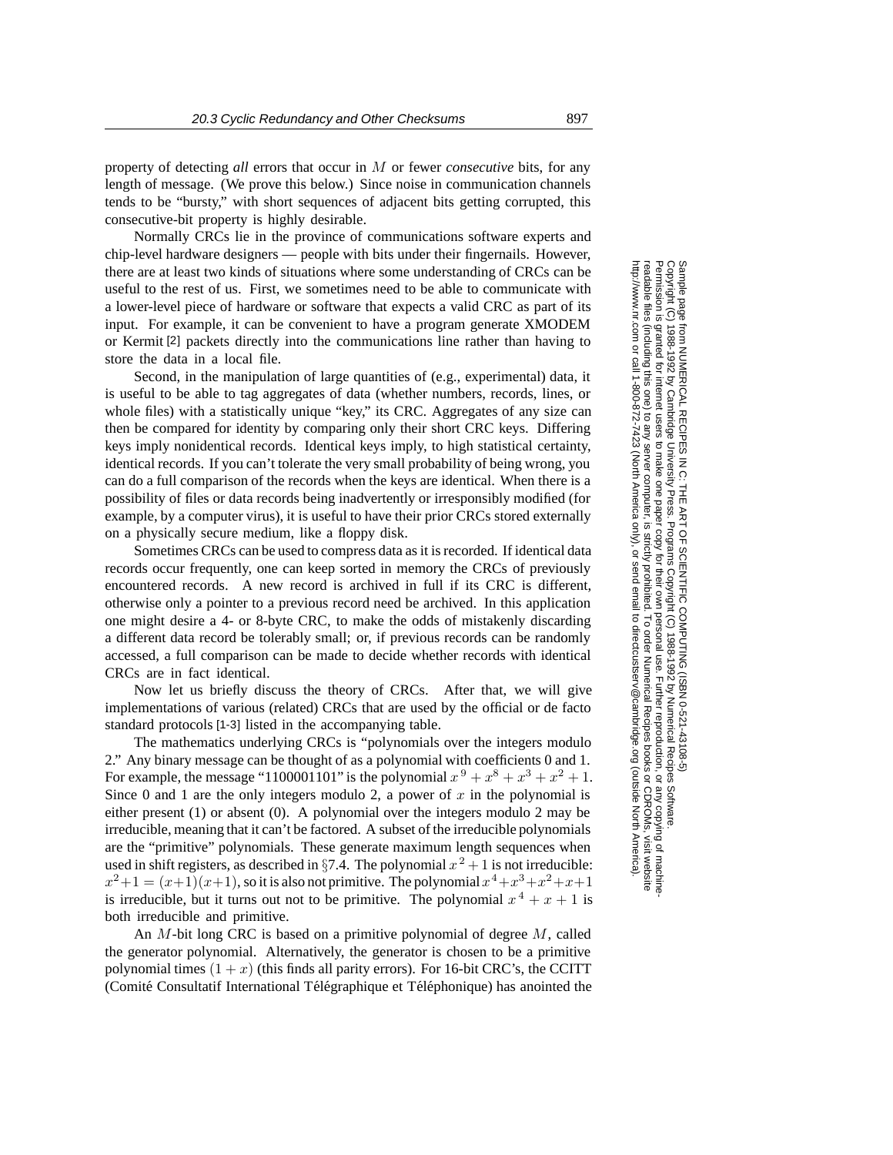property of detecting *all* errors that occur in *M* or fewer *consecutive* bits, for any length of message. (We prove this below.) Since noise in communication channels tends to be "bursty," with short sequences of adjacent bits getting corrupted, this consecutive-bit property is highly desirable.

Normally CRCs lie in the province of communications software experts and chip-level hardware designers — people with bits under their fingernails. However, there are at least two kinds of situations where some understanding of CRCs can be useful to the rest of us. First, we sometimes need to be able to communicate with a lower-level piece of hardware or software that expects a valid CRC as part of its input. For example, it can be convenient to have a program generate XMODEM or Kermit [2] packets directly into the communications line rather than having to store the data in a local file.

Second, in the manipulation of large quantities of (e.g., experimental) data, it is useful to be able to tag aggregates of data (whether numbers, records, lines, or whole files) with a statistically unique "key," its CRC. Aggregates of any size can then be compared for identity by comparing only their short CRC keys. Differing keys imply nonidentical records. Identical keys imply, to high statistical certainty, identical records. If you can't tolerate the very small probability of being wrong, you can do a full comparison of the records when the keys are identical. When there is a possibility of files or data records being inadvertently or irresponsibly modified (for example, by a computer virus), it is useful to have their prior CRCs stored externally on a physically secure medium, like a floppy disk.

Sometimes CRCs can be used to compress data as it is recorded. If identical data records occur frequently, one can keep sorted in memory the CRCs of previously encountered records. A new record is archived in full if its CRC is different, otherwise only a pointer to a previous record need be archived. In this application one might desire a 4- or 8-byte CRC, to make the odds of mistakenly discarding a different data record be tolerably small; or, if previous records can be randomly accessed, a full comparison can be made to decide whether records with identical CRCs are in fact identical.

Now let us briefly discuss the theory of CRCs. After that, we will give implementations of various (related) CRCs that are used by the official or de facto standard protocols [1-3] listed in the accompanying table.

The mathematics underlying CRCs is "polynomials over the integers modulo 2." Any binary message can be thought of as a polynomial with coefficients 0 and 1. For example, the message "1100001101" is the polynomial  $x^9 + x^8 + x^3 + x^2 + 1$ . Since 0 and 1 are the only integers modulo 2, a power of  $x$  in the polynomial is either present (1) or absent (0). A polynomial over the integers modulo 2 may be irreducible, meaning that it can't be factored. A subset of the irreducible polynomials are the "primitive" polynomials. These generate maximum length sequences when used in shift registers, as described in §7.4. The polynomial  $x^2 + 1$  is not irreducible:  $x^2+1 = (x+1)(x+1)$ , so it is also not primitive. The polynomial  $x^4+x^3+x^2+x+1$ is irreducible, but it turns out not to be primitive. The polynomial  $x^4 + x + 1$  is both irreducible and primitive.

An *M*-bit long CRC is based on a primitive polynomial of degree *M*, called the generator polynomial. Alternatively, the generator is chosen to be a primitive polynomial times  $(1 + x)$  (this finds all parity errors). For 16-bit CRC's, the CCITT (Comité Consultatif International Télégraphique et Téléphonique) has anointed the http://www.nr.com or call 1-800-872-7423 (North America only),

Permission is granted for internet users to make one paper copy for their own personal use. Further reproduction, or any copyin Copyright (C) 1988-1992 by Cambridge University Press.Programs Copyright (C) 1988-1992 by Numerical Recipes Software. Sample page from NUMERICAL RECIPES IN C: THE ART OF SCIENTIFIC COMPUTING (ISBN 0-521-43108-5) g of machinereadable files (including this one) to any servercomputer, is strictly prohibited. To order Numerical Recipes booksor CDROMs, visit website or send email to directcustserv@cambridge.org (outside North America).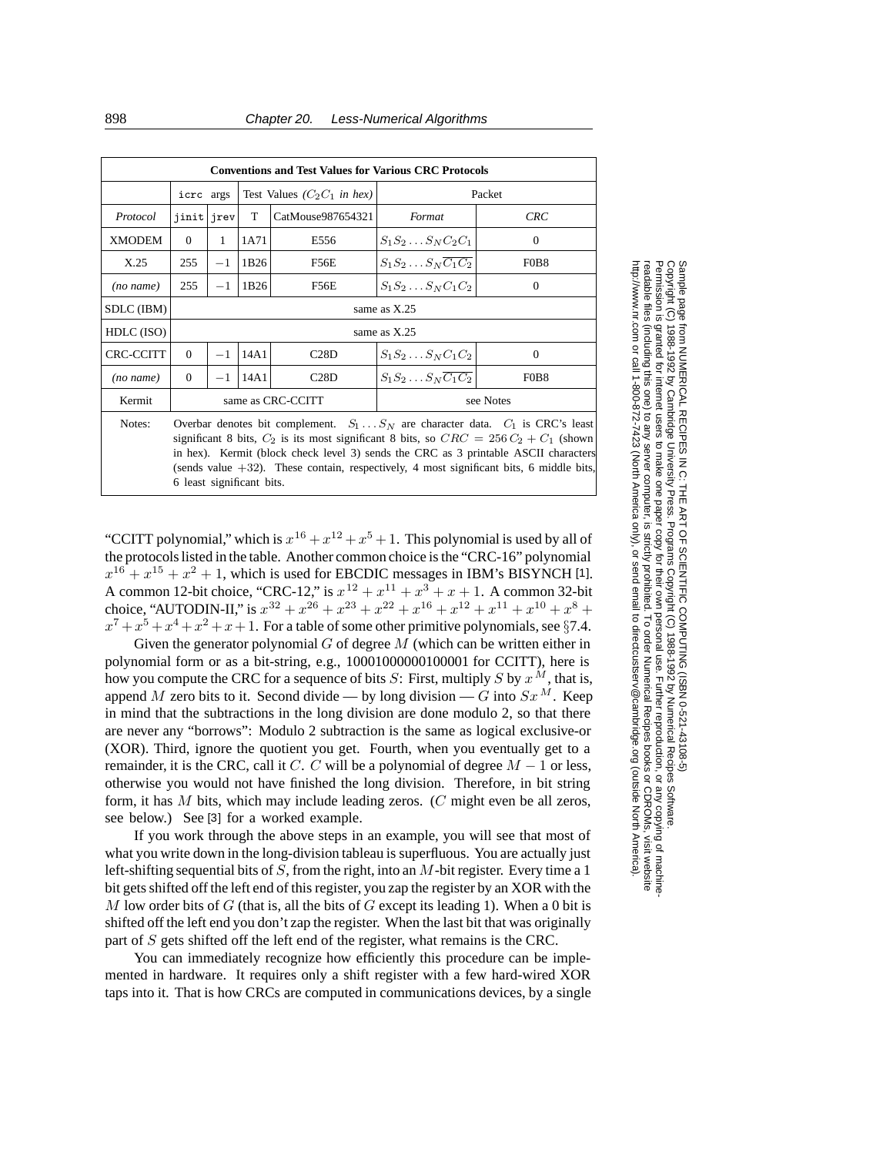| <b>Conventions and Test Values for Various CRC Protocols</b> |                                                                                                                                                                                                                                                                              |      |                  |                               |                          |            |
|--------------------------------------------------------------|------------------------------------------------------------------------------------------------------------------------------------------------------------------------------------------------------------------------------------------------------------------------------|------|------------------|-------------------------------|--------------------------|------------|
|                                                              | icrc                                                                                                                                                                                                                                                                         | args |                  | Test Values $(C_2C_1$ in hex) | Packet                   |            |
| Protocol                                                     | jinit                                                                                                                                                                                                                                                                        | jrev | Т                | CatMouse987654321             | Format                   | <b>CRC</b> |
| XMODEM                                                       | $\Omega$                                                                                                                                                                                                                                                                     | 1    | 1A71             | E556                          | $S_1S_2\ldots S_NC_2C_1$ | $\Omega$   |
| X.25                                                         | 255                                                                                                                                                                                                                                                                          | $-1$ | 1B <sub>26</sub> | F56E                          | $S_1S_2\ldots S_NC_1C_2$ | F0B8       |
| $(no \ name)$                                                | 255                                                                                                                                                                                                                                                                          | $-1$ | 1B <sub>26</sub> | F56E                          | $S_1S_2\ldots S_NC_1C_2$ | $\Omega$   |
| SDLC (IBM)                                                   | same as X.25                                                                                                                                                                                                                                                                 |      |                  |                               |                          |            |
| HDLC (ISO)                                                   | same as X.25                                                                                                                                                                                                                                                                 |      |                  |                               |                          |            |
| CRC-CCITT                                                    | $\Omega$                                                                                                                                                                                                                                                                     | $-1$ | 14A1             | C28D                          | $S_1S_2\ldots S_NC_1C_2$ | $\Omega$   |
| $(no \ name)$                                                | $\Omega$                                                                                                                                                                                                                                                                     | $-1$ | 14A1             | C <sub>2</sub> 8D             | $S_1S_2\ldots S_NC_1C_2$ | F0B8       |
| Kermit                                                       | same as CRC-CCITT                                                                                                                                                                                                                                                            |      |                  |                               | see Notes                |            |
| Notes:                                                       | Overbar denotes bit complement. $S_1 \dots S_N$ are character data. $C_1$ is CRC's least<br>significant 8 bits, $C_2$ is its most significant 8 bits, so $CRC = 256 C_2 + C_1$ (shown<br>in hex). Kermit (block check level 3) sends the CRC as 3 printable ASCII characters |      |                  |                               |                          |            |
|                                                              | (sends value $+32$ ). These contain, respectively, 4 most significant bits, 6 middle bits,                                                                                                                                                                                   |      |                  |                               |                          |            |

"CCITT polynomial," which is  $x^{16} + x^{12} + x^5 + 1$ . This polynomial is used by all of the protocols listed in the table. Another common choice is the "CRC-16" polynomial  $x^{16} + x^{15} + x^2 + 1$ , which is used for EBCDIC messages in IBM's BISYNCH [1]. A common 12-bit choice, "CRC-12," is  $x^{12} + x^{11} + x^3 + x + 1$ . A common 32-bit choice, "AUTODIN-II," is  $x^{32} + x^{26} + x^{23} + x^{22} + x^{16} + x^{12} + x^{11} + x^{10} + x^8$  $x^7 + x^5 + x^4 + x^2 + x + 1$ . For a table of some other primitive polynomials, see §7.4.

6 least significant bits.

Given the generator polynomial *G* of degree *M* (which can be written either in polynomial form or as a bit-string, e.g., 10001000000100001 for CCITT), here is how you compute the CRC for a sequence of bits *S*: First, multiply *S* by  $x^M$ , that is, append *M* zero bits to it. Second divide — by long division — *G* into  $Sx^M$ . Keep in mind that the subtractions in the long division are done modulo 2, so that there are never any "borrows": Modulo 2 subtraction is the same as logical exclusive-or (XOR). Third, ignore the quotient you get. Fourth, when you eventually get to a remainder, it is the CRC, call it *C*. *C* will be a polynomial of degree  $M - 1$  or less, otherwise you would not have finished the long division. Therefore, in bit string form, it has *M* bits, which may include leading zeros. (*C* might even be all zeros, see below.) See [3] for a worked example.

If you work through the above steps in an example, you will see that most of what you write down in the long-division tableau is superfluous. You are actually just left-shifting sequential bits of *S*, from the right, into an *M*-bit register. Every time a 1 bit gets shifted off the left end of this register, you zap the register by an XOR with the *M* low order bits of *G* (that is, all the bits of *G* except its leading 1). When a 0 bit is shifted off the left end you don't zap the register. When the last bit that was originally part of *S* gets shifted off the left end of the register, what remains is the CRC.

You can immediately recognize how efficiently this procedure can be implemented in hardware. It requires only a shift register with a few hard-wired XOR taps into it. That is how CRCs are computed in communications devices, by a single

Copyright (C) 1988-1992 by Cambridge University Press.Sample page from NUMERICAL RECIPES IN C: THE ART OF SCIENTIFIC COMPUTING (ISBN 0-521-43108-5) http://www.nr.com or call 1-800-872-7423 (North America only),readable files (including this one) to any serverPermission is granted for internet users to make one paper copy for their own personal use. Further reproduction, or any copyin Sample page from NUMERICAL RECIPES IN C: THE ART OF SCIENTIFIC COMPUTING (ISBN 0-521-43108-5)<br>Copyright (C) 1988-1992 by Cambridge University Press. Programs Copyright (C) 1988-1992 by Numerical Recipes Software. Permission is computer, is strictly prohibited. To order Numerical Recipes booksPrograms Copyright (C) 1988-1992 by Numerical Recipes Software. or send email to directcustserv@cambridge.org (outside North America). or CDROMs, visit website g of machine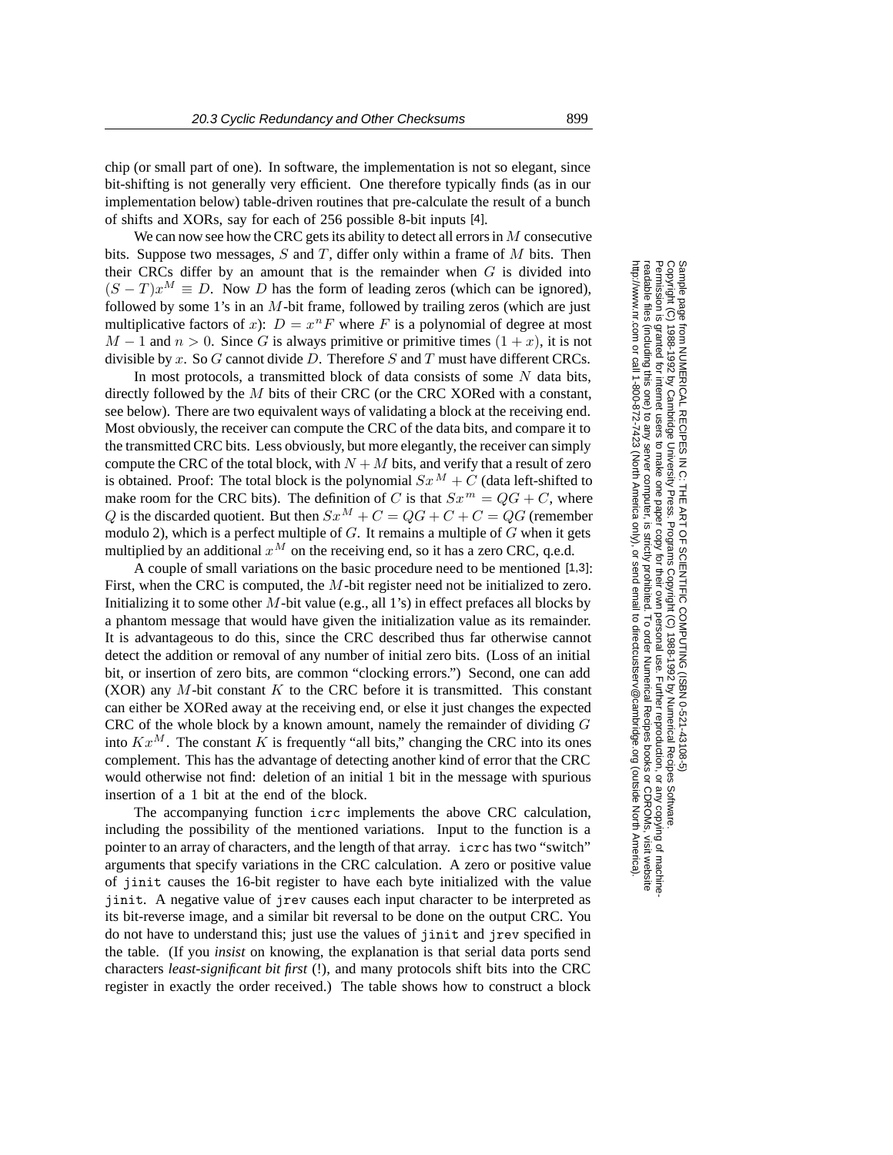chip (or small part of one). In software, the implementation is not so elegant, since bit-shifting is not generally very efficient. One therefore typically finds (as in our implementation below) table-driven routines that pre-calculate the result of a bunch of shifts and XORs, say for each of 256 possible 8-bit inputs [4].

We can now see how the CRC gets its ability to detect all errors in *M* consecutive bits. Suppose two messages, *S* and *T* , differ only within a frame of *M* bits. Then their CRCs differ by an amount that is the remainder when *G* is divided into  $(S - T)x^M \equiv D$ . Now *D* has the form of leading zeros (which can be ignored), followed by some 1's in an *M*-bit frame, followed by trailing zeros (which are just multiplicative factors of *x*):  $D = x^n F$  where *F* is a polynomial of degree at most *M* − 1 and *n* > 0. Since *G* is always primitive or primitive times  $(1 + x)$ , it is not divisible by *x*. So *G* cannot divide *D*. Therefore *S* and *T* must have different CRCs.

In most protocols, a transmitted block of data consists of some *N* data bits, directly followed by the *M* bits of their CRC (or the CRC XORed with a constant, see below). There are two equivalent ways of validating a block at the receiving end. Most obviously, the receiver can compute the CRC of the data bits, and compare it to the transmitted CRC bits. Less obviously, but more elegantly, the receiver can simply compute the CRC of the total block, with  $N + M$  bits, and verify that a result of zero is obtained. Proof: The total block is the polynomial  $Sx^M + C$  (data left-shifted to make room for the CRC bits). The definition of *C* is that  $Sx^m = QG + C$ , where *Q* is the discarded quotient. But then  $Sx^M + C = QG + C + C = QG$  (remember modulo 2), which is a perfect multiple of *G*. It remains a multiple of *G* when it gets multiplied by an additional  $x^M$  on the receiving end, so it has a zero CRC, q.e.d.

A couple of small variations on the basic procedure need to be mentioned [1,3]: First, when the CRC is computed, the *M*-bit register need not be initialized to zero. Initializing it to some other *M*-bit value (e.g., all 1's) in effect prefaces all blocks by a phantom message that would have given the initialization value as its remainder. It is advantageous to do this, since the CRC described thus far otherwise cannot detect the addition or removal of any number of initial zero bits. (Loss of an initial bit, or insertion of zero bits, are common "clocking errors.") Second, one can add (XOR) any *M*-bit constant *K* to the CRC before it is transmitted. This constant can either be XORed away at the receiving end, or else it just changes the expected CRC of the whole block by a known amount, namely the remainder of dividing *G* into  $Kx^M$ . The constant K is frequently "all bits," changing the CRC into its ones complement. This has the advantage of detecting another kind of error that the CRC would otherwise not find: deletion of an initial 1 bit in the message with spurious insertion of a 1 bit at the end of the block.

The accompanying function icrc implements the above CRC calculation, including the possibility of the mentioned variations. Input to the function is a pointer to an array of characters, and the length of that array. icrc has two "switch" arguments that specify variations in the CRC calculation. A zero or positive value of jinit causes the 16-bit register to have each byte initialized with the value jinit. A negative value of jrev causes each input character to be interpreted as its bit-reverse image, and a similar bit reversal to be done on the output CRC. You do not have to understand this; just use the values of jinit and jrev specified in the table. (If you *insist* on knowing, the explanation is that serial data ports send characters *least-significant bit first* (!), and many protocols shift bits into the CRC register in exactly the order received.) The table shows how to construct a block

Permission is granted for internet users to make one paper copy for their own personal use. Further reproduction, or any copyin Copyright (C) 1988-1992 by Cambridge University Press.Programs Copyright (C) 1988-1992 by Numerical Recipes Software. Sample page from NUMERICAL RECIPES IN C: THE ART OF SCIENTIFIC COMPUTING (ISBN 0-521-43108-5) g of machinereadable files (including this one) to any servercomputer, is strictly prohibited. To order Numerical Recipes booksor CDROMs, visit website http://www.nr.com or call 1-800-872-7423 (North America only),or send email to directcustserv@cambridge.org (outside North America).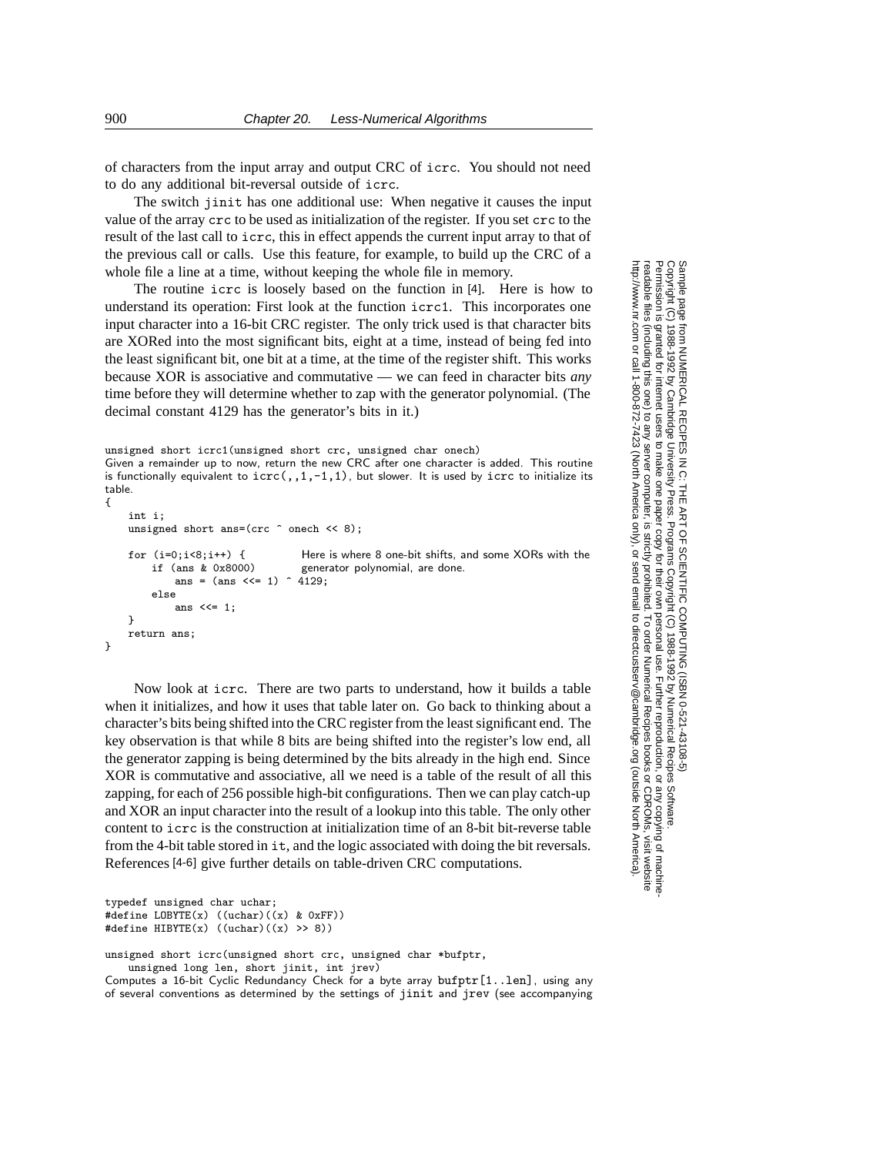of characters from the input array and output CRC of icrc. You should not need to do any additional bit-reversal outside of icrc.

The switch jinit has one additional use: When negative it causes the input value of the array crc to be used as initialization of the register. If you set crc to the result of the last call to icrc, this in effect appends the current input array to that of the previous call or calls. Use this feature, for example, to build up the CRC of a whole file a line at a time, without keeping the whole file in memory.

The routine icrc is loosely based on the function in [4]. Here is how to understand its operation: First look at the function icrc1. This incorporates one input character into a 16-bit CRC register. The only trick used is that character bits are XORed into the most significant bits, eight at a time, instead of being fed into the least significant bit, one bit at a time, at the time of the register shift. This works because XOR is associative and commutative — we can feed in character bits *any* time before they will determine whether to zap with the generator polynomial. (The decimal constant 4129 has the generator's bits in it.)

unsigned short icrc1(unsigned short crc, unsigned char onech)

Given a remainder up to now, return the new CRC after one character is added. This routine is functionally equivalent to  $irc($ ,,1,-1,1), but slower. It is used by icrc to initialize its table.

```
{
    int i;
    unsigned short ans=(crc \hat{ } onech \lt\lt 8);
    for (i=0;i<8;i++) { Here is where 8 one-bit shifts, and some XORs with the
        if (ans & 0x8000) generator polynomial, are done.
            ans = {\text{Ans} \leq 1} ^ 4129;
        else
            ans <<= 1;
    }
    return ans;
}
```
Now look at icrc. There are two parts to understand, how it builds a table when it initializes, and how it uses that table later on. Go back to thinking about a character's bits being shifted into the CRC register from the least significant end. The key observation is that while 8 bits are being shifted into the register's low end, all the generator zapping is being determined by the bits already in the high end. Since XOR is commutative and associative, all we need is a table of the result of all this zapping, for each of 256 possible high-bit configurations. Then we can play catch-up and XOR an input character into the result of a lookup into this table. The only other content to icrc is the construction at initialization time of an 8-bit bit-reverse table from the 4-bit table stored in it, and the logic associated with doing the bit reversals. References [4-6] give further details on table-driven CRC computations.

```
typedef unsigned char uchar;
#define LOBYTE(x) ((uchar)((x) & 0xFF))
#define HIBYTE(x) ((uchar)((x) >> 8))
```
unsigned short icrc(unsigned short crc, unsigned char \*bufptr,

unsigned long len, short jinit, int jrev)

Computes a 16-bit Cyclic Redundancy Check for a byte array bufptr[1..len], using any of several conventions as determined by the settings of jinit and jrev (see accompanying

Sample page 1<br>Copyright (C)<br>Permission is Copyright (C) 1988-1992 by Cambridge University Press.Sample page from NUMERICAL RECIPES IN C: THE ART OF SCIENTIFIC COMPUTING (ISBN 0-521-43108-5) http://www.nr.com or call 1-800-872-7423 (North America only),readable files (including this one) to any serverPermission is granted for internet users to make one paper copy for their own personal use. Further reproduction, or any copyin 1988-1992 by Cambridge **IFTHE CONFINITY OF RECIPES IN C. THE** University Press. Programs computer, is strictly prohibited. To order Numerical Recipes booksART OF Programs Copyright (C) 1988-1992 by Numerical Recipes Software. SCIENTIFIC COMPUTING or send email to directcustserv@cambridge.org (outside North America). Copyright (C) rPUTING (ISBN 0-521-43108-5)<br>11988-1992 by Numerical Recipes or CDROMs, visit website Software g of machine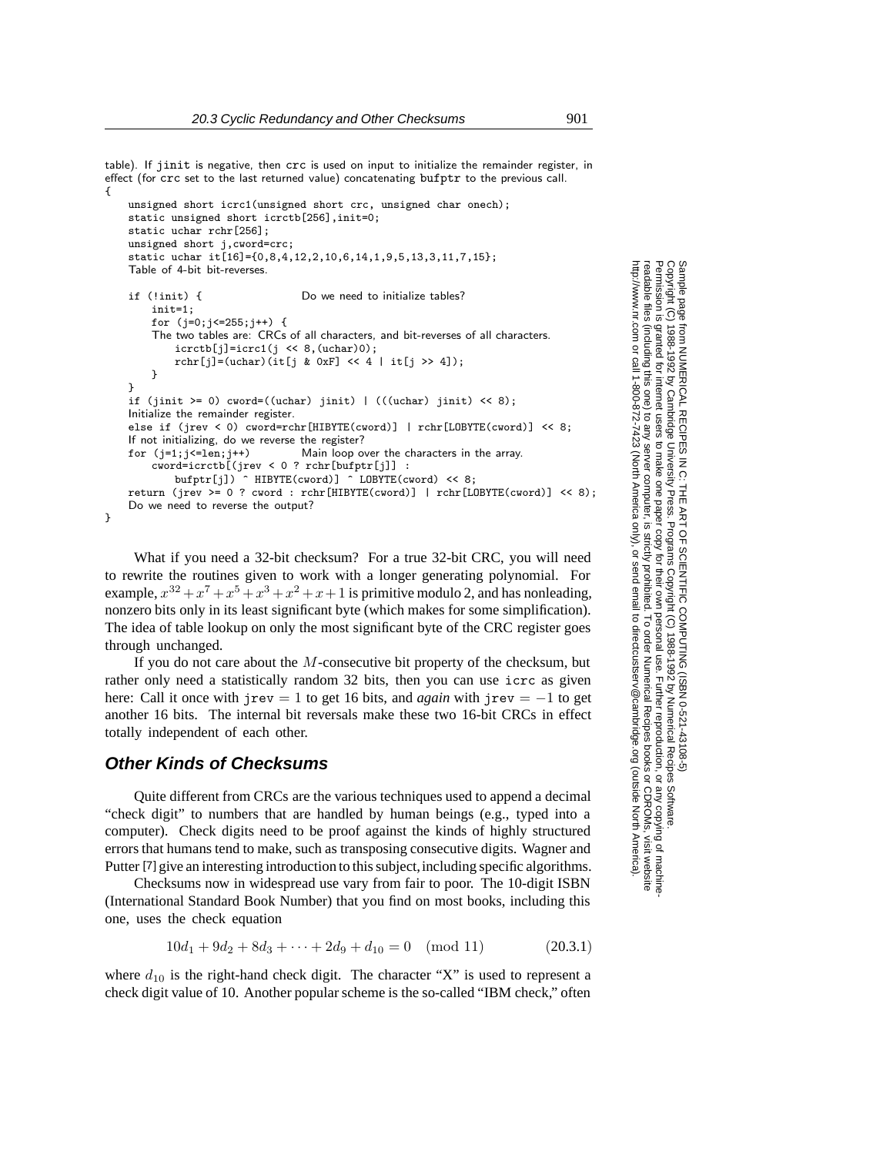table). If jinit is negative, then crc is used on input to initialize the remainder register, in effect (for crc set to the last returned value) concatenating bufptr to the previous call. {

```
unsigned short icrc1(unsigned short crc, unsigned char onech);
static unsigned short icrctb[256],init=0;
static uchar rchr[256];
unsigned short j,cword=crc;
static uchar it[16]={0,8,4,12,2,10,6,14,1,9,5,13,3,11,7,15};
Table of 4-bit bit-reverses.
if (!init) { Do we need to initialize tables?
    init=1;
    for (j=0;j<=255;j++) {
    The two tables are: CRCs of all characters, and bit-reverses of all characters.
        icrctb[j]=icrc1(j \ll 8,(uchar)0);rchr[j] = (uchar)(it[j & 0xF] < 4 | it[j > 4]);}
}
if (jinit >= 0) cword=((uchar) jinit) | (((uchar) jinit) << 8);
Initialize the remainder register.
else if (jrev < 0) cword=rchr[HIBYTE(cword)] | rchr[LOBYTE(cword)] << 8;
If not initializing, do we reverse the register?
for (j=1;j<=len;j++) Main loop over the characters in the array.
    cword=icrctb[(jrev < 0 ? rchr[bufptr[j]] :
       bufptr[j]) \hat{ } HIBYTE(cword)] \hat{ } LOBYTE(cword) << 8;
return (jrev >= 0 ? cword : rchr[HIBYTE(cword)] | rchr[LOBYTE(cword)] << 8);
Do we need to reverse the output?
```
What if you need a 32-bit checksum? For a true 32-bit CRC, you will need to rewrite the routines given to work with a longer generating polynomial. For example,  $x^{32} + x^7 + x^5 + x^3 + x^2 + x + 1$  is primitive modulo 2, and has nonleading, nonzero bits only in its least significant byte (which makes for some simplification). The idea of table lookup on only the most significant byte of the CRC register goes through unchanged.

If you do not care about the *M*-consecutive bit property of the checksum, but rather only need a statistically random 32 bits, then you can use icrc as given here: Call it once with jrev = 1 to get 16 bits, and *again* with jrev =  $-1$  to get another 16 bits. The internal bit reversals make these two 16-bit CRCs in effect totally independent of each other.

## **Other Kinds of Checksums**

}

Quite different from CRCs are the various techniques used to append a decimal "check digit" to numbers that are handled by human beings (e.g., typed into a computer). Check digits need to be proof against the kinds of highly structured errors that humans tend to make, such as transposing consecutive digits. Wagner and Putter [7] give an interesting introduction to this subject, including specific algorithms.

Checksums now in widespread use vary from fair to poor. The 10-digit ISBN (International Standard Book Number) that you find on most books, including this one, uses the check equation

$$
10d_1 + 9d_2 + 8d_3 + \dots + 2d_9 + d_{10} = 0 \pmod{11} \tag{20.3.1}
$$

where  $d_{10}$  is the right-hand check digit. The character "X" is used to represent a check digit value of 10. Another popular scheme is the so-called "IBM check," often

Sample page f<br>Copyright (C)<br>Permission is <sub>!</sub><br>readable files **!** Copyright (C) 1988-1992 by Cambridge University Press.Sample page from NUMERICAL RECIPES IN C: THE ART OF SCIENTIFIC COMPUTING (ISBN 0-521-43108-5) http://www.nr.com or call 1-800-872-7423 (North America only),readable files (including this one) to any serverPermission is granted for internet users to make one paper copy for their own personal use. Further reproduction, or any copyin http://www.nr.com computer, is strictly prohibited. To order Numerical Recipes booksPrograms Copyright (C) 1988-1992 by Numerical Recipes Software. or send email to directcustserv@cambridge.org (outside North America). or CDROMs, visit website g of machine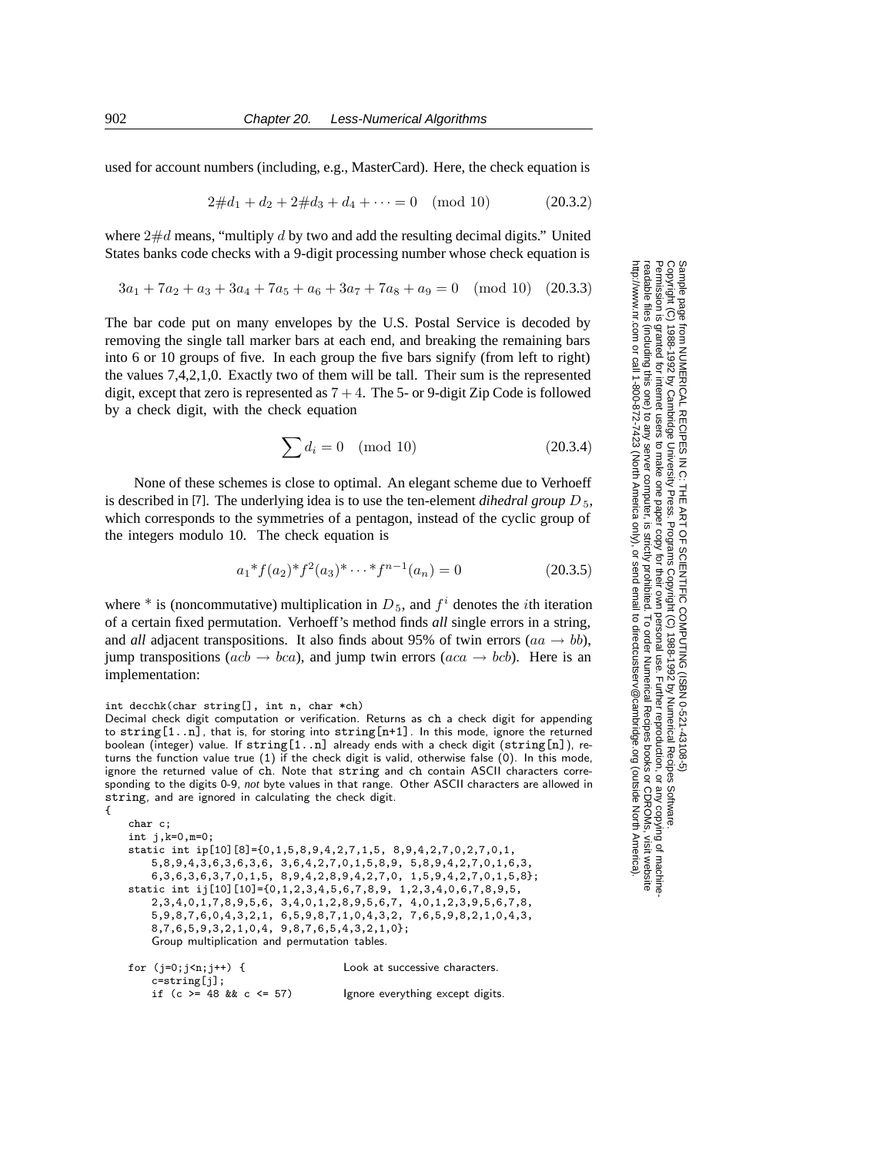used for account numbers (including, e.g., MasterCard). Here, the check equation is

$$
2\#d_1 + d_2 + 2\#d_3 + d_4 + \dots = 0 \pmod{10} \tag{20.3.2}
$$

where 2#*d* means, "multiply *d* by two and add the resulting decimal digits." United States banks code checks with a 9-digit processing number whose check equation is

$$
3a_1 + 7a_2 + a_3 + 3a_4 + 7a_5 + a_6 + 3a_7 + 7a_8 + a_9 = 0 \pmod{10} \quad (20.3.3)
$$

The bar code put on many envelopes by the U.S. Postal Service is decoded by removing the single tall marker bars at each end, and breaking the remaining bars into 6 or 10 groups of five. In each group the five bars signify (from left to right) the values 7,4,2,1,0. Exactly two of them will be tall. Their sum is the represented digit, except that zero is represented as  $7+4$ . The 5- or 9-digit Zip Code is followed by a check digit, with the check equation

$$
\sum d_i = 0 \pmod{10} \tag{20.3.4}
$$

None of these schemes is close to optimal. An elegant scheme due to Verhoeff is described in [7]. The underlying idea is to use the ten-element *dihedral group*  $D_5$ , which corresponds to the symmetries of a pentagon, instead of the cyclic group of the integers modulo 10. The check equation is

$$
a_1 * f(a_2) * f^2(a_3) * \dots * f^{n-1}(a_n) = 0
$$
\n(20.3.5)

where  $*$  is (noncommutative) multiplication in  $D_5$ , and  $f^i$  denotes the *i*th iteration of a certain fixed permutation. Verhoeff's method finds *all* single errors in a string, and *all* adjacent transpositions. It also finds about 95% of twin errors ( $aa \rightarrow bb$ ), jump transpositions ( $acb \rightarrow bca$ ), and jump twin errors ( $aca \rightarrow bcb$ ). Here is an implementation:

int decchk(char string[], int n, char \*ch)

Decimal check digit computation or verification. Returns as ch a check digit for appending to string  $[1..n]$ , that is, for storing into string  $[n+1]$ . In this mode, ignore the returned boolean (integer) value. If  $string[1..n]$  already ends with a check digit ( $string[n]$ ), returns the function value true (1) if the check digit is valid, otherwise false (0). In this mode, ignore the returned value of ch. Note that string and ch contain ASCII characters corresponding to the digits 0-9, *not* byte values in that range. Other ASCII characters are allowed in string, and are ignored in calculating the check digit. {

```
char c;
int j,k=0,m=0;
static int ip[10][8]={0,1,5,8,9,4,2,7,1,5, 8,9,4,2,7,0,2,7,0,1,
   5,8,9,4,3,6,3,6,3,6, 3,6,4,2,7,0,1,5,8,9, 5,8,9,4,2,7,0,1,6,3,
   6,3,6,3,6,3,7,0,1,5, 8,9,4,2,8,9,4,2,7,0, 1,5,9,4,2,7,0,1,5,8};
static int ij[10][10]={0,1,2,3,4,5,6,7,8,9, 1,2,3,4,0,6,7,8,9,5,
   2,3,4,0,1,7,8,9,5,6, 3,4,0,1,2,8,9,5,6,7, 4,0,1,2,3,9,5,6,7,8,
   5,9,8,7,6,0,4,3,2,1, 6,5,9,8,7,1,0,4,3,2, 7,6,5,9,8,2,1,0,4,3,
   8,7,6,5,9,3,2,1,0,4, 9,8,7,6,5,4,3,2,1,0};
   Group multiplication and permutation tables.
```

```
for (j=0;j<n;j++) { Look at successive characters.
    c=string[j];<br>if (c >= 48 && c <= 57)
                                       Ignore everything except digits.
```
Permission is granted for internet users to make one paper copy for their own personal use. Further reproduction, or any copyin Copyright (C) 1988-1992 by Cambridge University Press.Programs Copyright (C) 1988-1992 by Numerical Recipes Software. Sample page from NUMERICAL RECIPES IN C: THE ART OF SCIENTIFIC COMPUTING (ISBN 0-521-43108-5) g of machinereadable files (including this one) to any servercomputer, is strictly prohibited. To order Numerical Recipes booksor CDROMs, visit website http://www.nr.com or call 1-800-872-7423 (North America only),or send email to directcustserv@cambridge.org (outside North America).